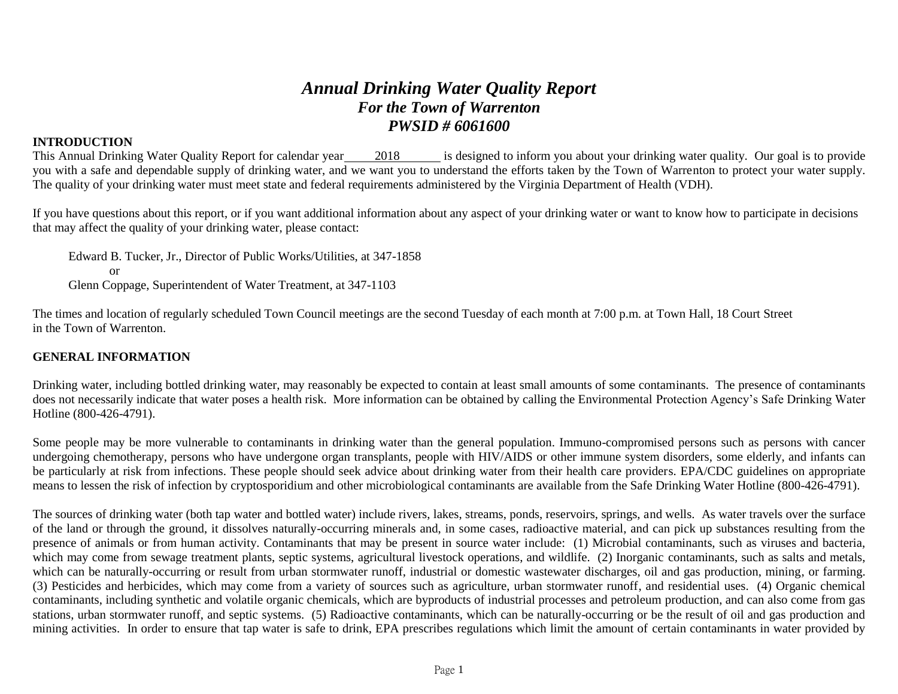# *Annual Drinking Water Quality Report For the Town of Warrenton PWSID # 6061600*

## **INTRODUCTION**

This Annual Drinking Water Quality Report for calendar year 2018 is designed to inform you about your drinking water quality. Our goal is to provide you with a safe and dependable supply of drinking water, and we want you to understand the efforts taken by the Town of Warrenton to protect your water supply. The quality of your drinking water must meet state and federal requirements administered by the Virginia Department of Health (VDH).

If you have questions about this report, or if you want additional information about any aspect of your drinking water or want to know how to participate in decisions that may affect the quality of your drinking water, please contact:

Edward B. Tucker, Jr., Director of Public Works/Utilities, at 347-1858 or Glenn Coppage, Superintendent of Water Treatment, at 347-1103

The times and location of regularly scheduled Town Council meetings are the second Tuesday of each month at 7:00 p.m. at Town Hall, 18 Court Street in the Town of Warrenton.

### **GENERAL INFORMATION**

Drinking water, including bottled drinking water, may reasonably be expected to contain at least small amounts of some contaminants. The presence of contaminants does not necessarily indicate that water poses a health risk. More information can be obtained by calling the Environmental Protection Agency's Safe Drinking Water Hotline (800-426-4791).

Some people may be more vulnerable to contaminants in drinking water than the general population. Immuno-compromised persons such as persons with cancer undergoing chemotherapy, persons who have undergone organ transplants, people with HIV/AIDS or other immune system disorders, some elderly, and infants can be particularly at risk from infections. These people should seek advice about drinking water from their health care providers. EPA/CDC guidelines on appropriate means to lessen the risk of infection by cryptosporidium and other microbiological contaminants are available from the Safe Drinking Water Hotline (800-426-4791).

The sources of drinking water (both tap water and bottled water) include rivers, lakes, streams, ponds, reservoirs, springs, and wells. As water travels over the surface of the land or through the ground, it dissolves naturally-occurring minerals and, in some cases, radioactive material, and can pick up substances resulting from the presence of animals or from human activity. Contaminants that may be present in source water include: (1) Microbial contaminants, such as viruses and bacteria, which may come from sewage treatment plants, septic systems, agricultural livestock operations, and wildlife. (2) Inorganic contaminants, such as salts and metals, which can be naturally-occurring or result from urban stormwater runoff, industrial or domestic wastewater discharges, oil and gas production, mining, or farming. (3) Pesticides and herbicides, which may come from a variety of sources such as agriculture, urban stormwater runoff, and residential uses. (4) Organic chemical contaminants, including synthetic and volatile organic chemicals, which are byproducts of industrial processes and petroleum production, and can also come from gas stations, urban stormwater runoff, and septic systems. (5) Radioactive contaminants, which can be naturally-occurring or be the result of oil and gas production and mining activities. In order to ensure that tap water is safe to drink, EPA prescribes regulations which limit the amount of certain contaminants in water provided by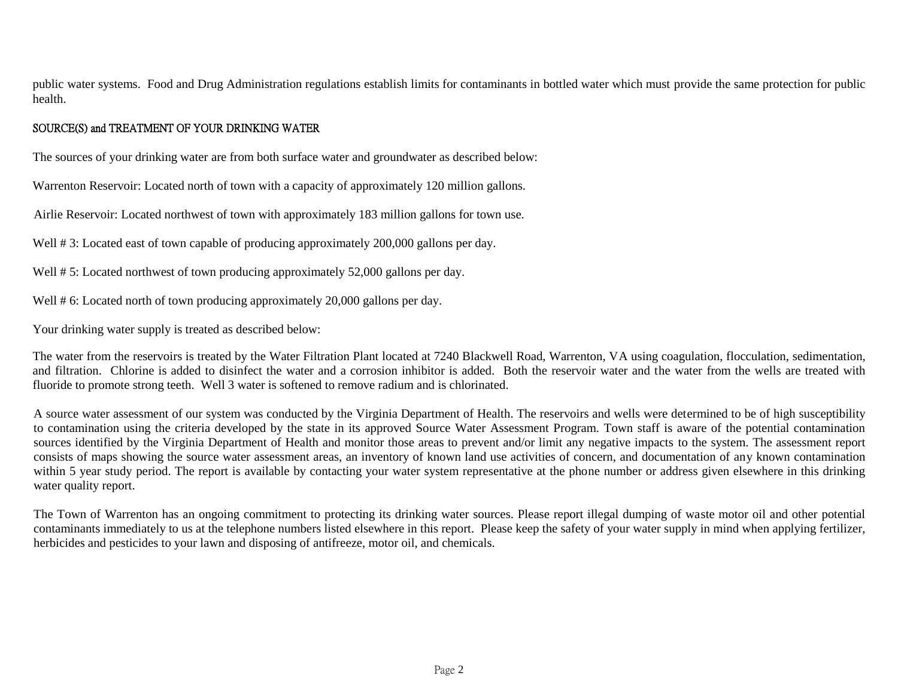public water systems. Food and Drug Administration regulations establish limits for contaminants in bottled water which must provide the same protection for public health.

# SOURCE(S) and TREATMENT OF YOUR DRINKING WATER

The sources of your drinking water are from both surface water and groundwater as described below:

Warrenton Reservoir: Located north of town with a capacity of approximately 120 million gallons.

Airlie Reservoir: Located northwest of town with approximately 183 million gallons for town use.

Well # 3: Located east of town capable of producing approximately 200,000 gallons per day.

Well # 5: Located northwest of town producing approximately 52,000 gallons per day.

Well # 6: Located north of town producing approximately 20,000 gallons per day.

Your drinking water supply is treated as described below:

The water from the reservoirs is treated by the Water Filtration Plant located at 7240 Blackwell Road, Warrenton, VA using coagulation, flocculation, sedimentation, and filtration. Chlorine is added to disinfect the water and a corrosion inhibitor is added. Both the reservoir water and the water from the wells are treated with fluoride to promote strong teeth. Well 3 water is softened to remove radium and is chlorinated.

A source water assessment of our system was conducted by the Virginia Department of Health. The reservoirs and wells were determined to be of high susceptibility to contamination using the criteria developed by the state in its approved Source Water Assessment Program. Town staff is aware of the potential contamination sources identified by the Virginia Department of Health and monitor those areas to prevent and/or limit any negative impacts to the system. The assessment report consists of maps showing the source water assessment areas, an inventory of known land use activities of concern, and documentation of any known contamination within 5 year study period. The report is available by contacting your water system representative at the phone number or address given elsewhere in this drinking water quality report.

The Town of Warrenton has an ongoing commitment to protecting its drinking water sources. Please report illegal dumping of waste motor oil and other potential contaminants immediately to us at the telephone numbers listed elsewhere in this report. Please keep the safety of your water supply in mind when applying fertilizer, herbicides and pesticides to your lawn and disposing of antifreeze, motor oil, and chemicals.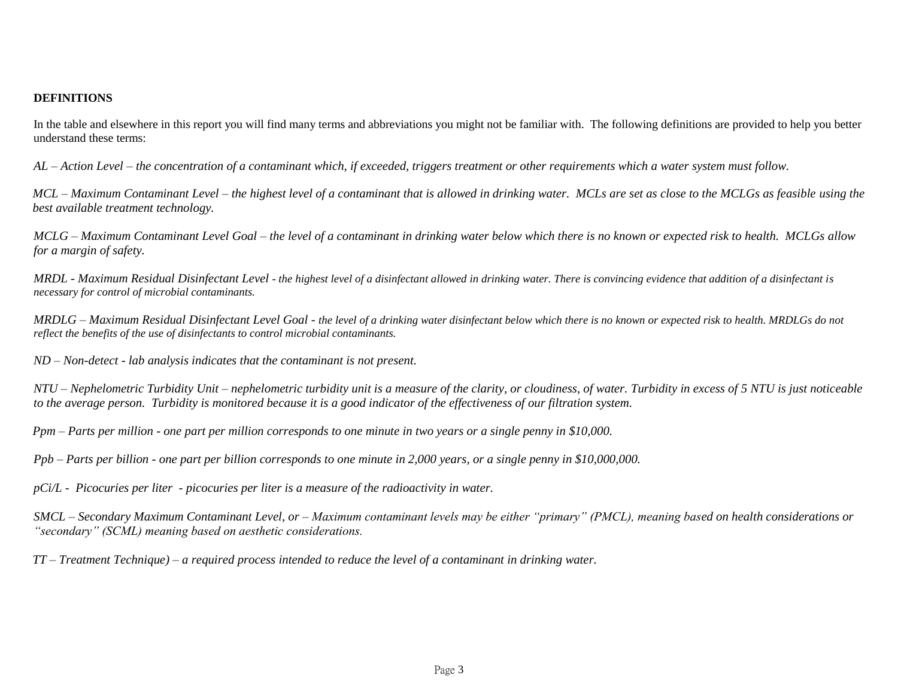#### **DEFINITIONS**

In the table and elsewhere in this report you will find many terms and abbreviations you might not be familiar with. The following definitions are provided to help you better understand these terms:

*AL – Action Level – the concentration of a contaminant which, if exceeded, triggers treatment or other requirements which a water system must follow.*

*MCL – Maximum Contaminant Level – the highest level of a contaminant that is allowed in drinking water. MCLs are set as close to the MCLGs as feasible using the best available treatment technology.*

*MCLG – Maximum Contaminant Level Goal – the level of a contaminant in drinking water below which there is no known or expected risk to health. MCLGs allow for a margin of safety.*

*MRDL - Maximum Residual Disinfectant Level* - *the highest level of a disinfectant allowed in drinking water. There is convincing evidence that addition of a disinfectant is necessary for control of microbial contaminants.*

*MRDLG – Maximum Residual Disinfectant Level Goal - the level of a drinking water disinfectant below which there is no known or expected risk to health. MRDLGs do not reflect the benefits of the use of disinfectants to control microbial contaminants.*

*ND – Non-detect - lab analysis indicates that the contaminant is not present.*

*NTU – Nephelometric Turbidity Unit* – *nephelometric turbidity unit is a measure of the clarity, or cloudiness, of water. Turbidity in excess of 5 NTU is just noticeable to the average person. Turbidity is monitored because it is a good indicator of the effectiveness of our filtration system.*

*Ppm – Parts per million - one part per million corresponds to one minute in two years or a single penny in \$10,000.*

*Ppb – Parts per billion - one part per billion corresponds to one minute in 2,000 years, or a single penny in \$10,000,000.* 

*pCi/L - Picocuries per liter - picocuries per liter is a measure of the radioactivity in water.*

*SMCL – Secondary Maximum Contaminant Level, or – Maximum contaminant levels may be either "primary" (PMCL), meaning based on health considerations or "secondary" (SCML) meaning based on aesthetic considerations.*

*TT – Treatment Technique) – a required process intended to reduce the level of a contaminant in drinking water.*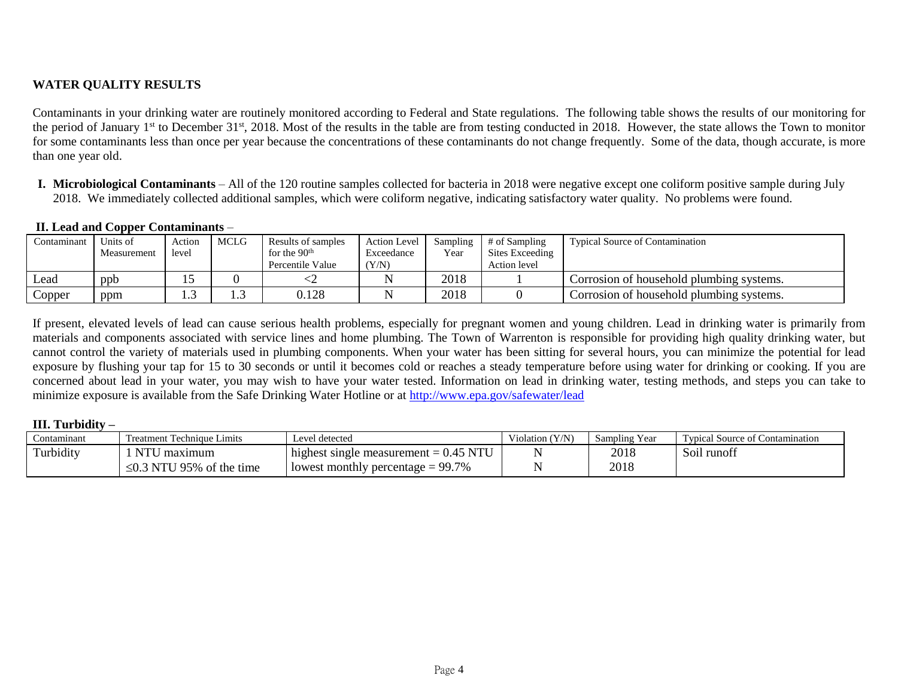# **WATER QUALITY RESULTS**

Contaminants in your drinking water are routinely monitored according to Federal and State regulations. The following table shows the results of our monitoring for the period of January 1<sup>st</sup> to December 31<sup>st</sup>, 2018. Most of the results in the table are from testing conducted in 2018. However, the state allows the Town to monitor for some contaminants less than once per year because the concentrations of these contaminants do not change frequently. Some of the data, though accurate, is more than one year old.

**I. Microbiological Contaminants** – All of the 120 routine samples collected for bacteria in 2018 were negative except one coliform positive sample during July 2018. We immediately collected additional samples, which were coliform negative, indicating satisfactory water quality. No problems were found.

### **II. Lead and Copper Contaminants** –

|             | --          |        |             |                    |                     |          |                 |                                          |
|-------------|-------------|--------|-------------|--------------------|---------------------|----------|-----------------|------------------------------------------|
| Contaminant | Units of    | Action | <b>MCLG</b> | Results of samples | <b>Action Level</b> | Sampling | # of Sampling   | <b>Typical Source of Contamination</b>   |
|             | Measurement | level  |             | for the $90th$     | Exceedance          | Year     | Sites Exceeding |                                          |
|             |             |        |             | Percentile Value   | (Y/N)               |          | Action level    |                                          |
| Lead        | ppb         |        |             |                    |                     | 2018     |                 | Corrosion of household plumbing systems. |
| Copper      | ppm         |        | .           | 0.128              |                     | 2018     |                 | Corrosion of household plumbing systems. |

If present, elevated levels of lead can cause serious health problems, especially for pregnant women and young children. Lead in drinking water is primarily from materials and components associated with service lines and home plumbing. The Town of Warrenton is responsible for providing high quality drinking water, but cannot control the variety of materials used in plumbing components. When your water has been sitting for several hours, you can minimize the potential for lead exposure by flushing your tap for 15 to 30 seconds or until it becomes cold or reaches a steady temperature before using water for drinking or cooking. If you are concerned about lead in your water, you may wish to have your water tested. Information on lead in drinking water, testing methods, and steps you can take to minimize exposure is available from the Safe Drinking Water Hotline or at<http://www.epa.gov/safewater/lead>

### **III. Turbidity –**

| Contaminant | Treatment Technique Limits             | Level detected                          | Violation (Y/N) | Sampling Year | $\sim$<br>l'ypical Source of Contamination |
|-------------|----------------------------------------|-----------------------------------------|-----------------|---------------|--------------------------------------------|
| Turbidity   | NTU<br>maximum                         | highest single measurement $= 0.45$ NTU |                 | 2018          | Soil runofi                                |
|             | $\sim$ 0.3 NTU<br>' 95%<br>of the time | l lowest monthly percentage = $99.7\%$  |                 | 2018          |                                            |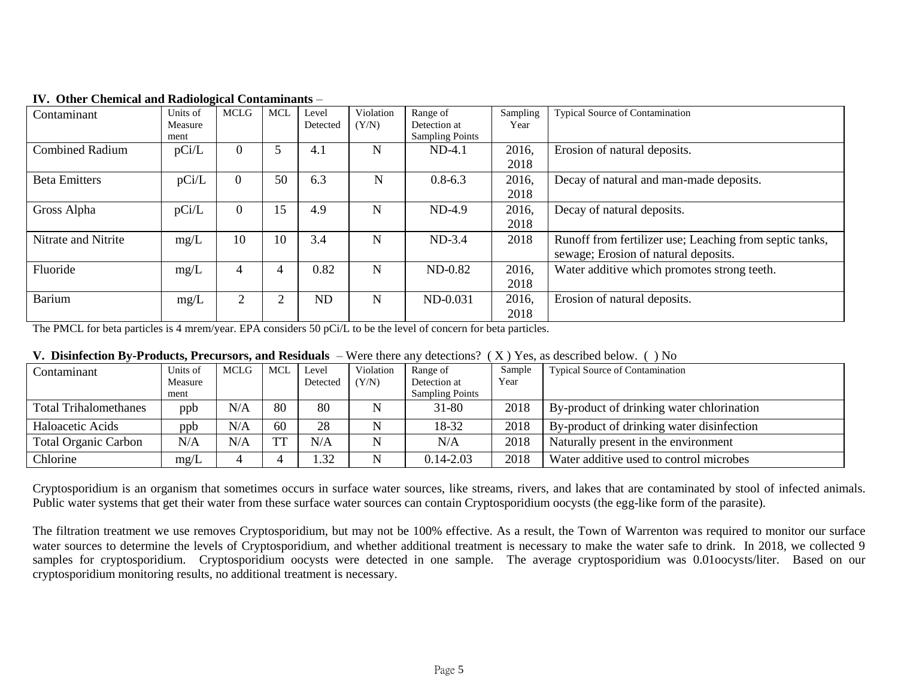| Contaminant            | $\overline{\phantom{a}}$<br>Units of | <b>MCLG</b> | <b>MCL</b> | Level     | Violation | Range of               | Sampling | <b>Typical Source of Contamination</b>                  |
|------------------------|--------------------------------------|-------------|------------|-----------|-----------|------------------------|----------|---------------------------------------------------------|
|                        | Measure                              |             |            | Detected  | (Y/N)     | Detection at           | Year     |                                                         |
|                        | ment                                 |             |            |           |           | <b>Sampling Points</b> |          |                                                         |
| <b>Combined Radium</b> | pCi/L                                | $\theta$    |            | 4.1       | N         | $ND-4.1$               | 2016,    | Erosion of natural deposits.                            |
|                        |                                      |             |            |           |           |                        | 2018     |                                                         |
| <b>Beta Emitters</b>   | pCi/L                                | $\Omega$    | 50         | 6.3       | N         | $0.8 - 6.3$            | 2016,    | Decay of natural and man-made deposits.                 |
|                        |                                      |             |            |           |           |                        | 2018     |                                                         |
| Gross Alpha            | pCi/L                                | $\Omega$    | 15         | 4.9       | N         | $ND-4.9$               | 2016,    | Decay of natural deposits.                              |
|                        |                                      |             |            |           |           |                        | 2018     |                                                         |
| Nitrate and Nitrite    | mg/L                                 | 10          | 10         | 3.4       | N         | $ND-3.4$               | 2018     | Runoff from fertilizer use; Leaching from septic tanks, |
|                        |                                      |             |            |           |           |                        |          | sewage; Erosion of natural deposits.                    |
| Fluoride               | mg/L                                 | 4           |            | 0.82      | N         | $ND-0.82$              | 2016,    | Water additive which promotes strong teeth.             |
|                        |                                      |             |            |           |           |                        | 2018     |                                                         |
| <b>Barium</b>          | mg/L                                 | 2           | ↑          | <b>ND</b> | N         | ND-0.031               | 2016,    | Erosion of natural deposits.                            |
|                        |                                      |             |            |           |           |                        | 2018     |                                                         |

### **IV. Other Chemical and Radiological Contaminants** –

The PMCL for beta particles is 4 mrem/year. EPA considers 50 pCi/L to be the level of concern for beta particles.

| V. Disinfection By-Products, Precursors, and Residuals – Were there any detections? ( $X$ ) Yes, as described below. () No |  |  |
|----------------------------------------------------------------------------------------------------------------------------|--|--|
|----------------------------------------------------------------------------------------------------------------------------|--|--|

| Contaminant                  | Units of | <b>MCLG</b> | MCL | Level    | Violation | Range of               | Sample | <b>Typical Source of Contamination</b>    |
|------------------------------|----------|-------------|-----|----------|-----------|------------------------|--------|-------------------------------------------|
|                              | Measure  |             |     | Detected | (Y/N)     | Detection at           | Year   |                                           |
|                              | ment     |             |     |          |           | <b>Sampling Points</b> |        |                                           |
| <b>Total Trihalomethanes</b> | ppb      | N/A         | 80  | 80       | N         | 31-80                  | 2018   | By-product of drinking water chlorination |
| Haloacetic Acids             | ppb      | N/A         | 60  | 28       |           | 18-32                  | 2018   | By-product of drinking water disinfection |
| <b>Total Organic Carbon</b>  | N/A      | N/A         |     | N/A      | N         | N/A                    | 2018   | Naturally present in the environment      |
| Chlorine                     | mg/L     |             |     | .32      | N         | $0.14 - 2.03$          | 2018   | Water additive used to control microbes   |

Cryptosporidium is an organism that sometimes occurs in surface water sources, like streams, rivers, and lakes that are contaminated by stool of infected animals. Public water systems that get their water from these surface water sources can contain Cryptosporidium oocysts (the egg-like form of the parasite).

The filtration treatment we use removes Cryptosporidium, but may not be 100% effective. As a result, the Town of Warrenton was required to monitor our surface water sources to determine the levels of Cryptosporidium, and whether additional treatment is necessary to make the water safe to drink. In 2018, we collected 9 samples for cryptosporidium. Cryptosporidium oocysts were detected in one sample. The average cryptosporidium was 0.01oocysts/liter. Based on our cryptosporidium monitoring results, no additional treatment is necessary.